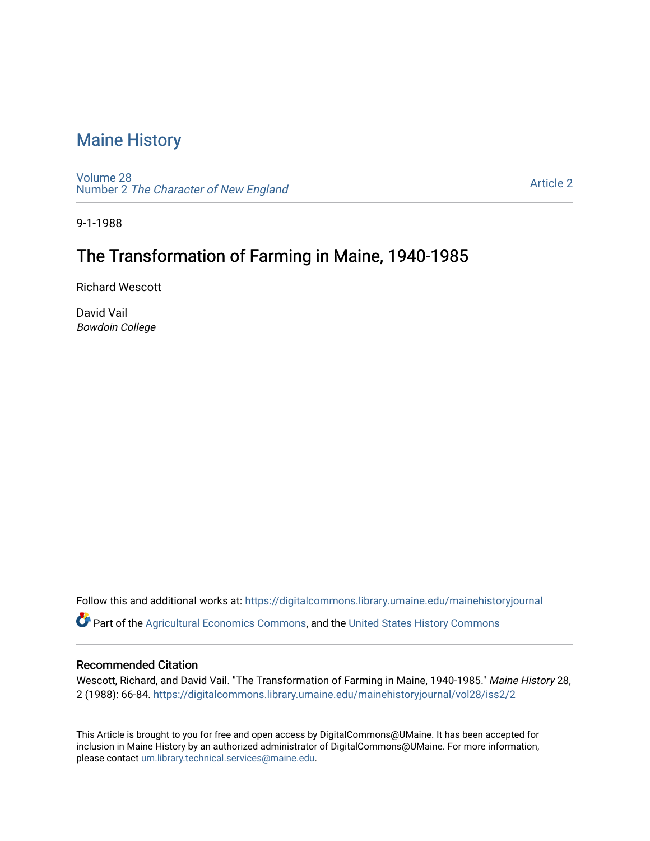## [Maine History](https://digitalcommons.library.umaine.edu/mainehistoryjournal)

[Volume 28](https://digitalcommons.library.umaine.edu/mainehistoryjournal/vol28) Number 2 [The Character of New England](https://digitalcommons.library.umaine.edu/mainehistoryjournal/vol28/iss2)

[Article 2](https://digitalcommons.library.umaine.edu/mainehistoryjournal/vol28/iss2/2) 

9-1-1988

# The Transformation of Farming in Maine, 1940-1985

Richard Wescott

David Vail Bowdoin College

Follow this and additional works at: [https://digitalcommons.library.umaine.edu/mainehistoryjournal](https://digitalcommons.library.umaine.edu/mainehistoryjournal?utm_source=digitalcommons.library.umaine.edu%2Fmainehistoryjournal%2Fvol28%2Fiss2%2F2&utm_medium=PDF&utm_campaign=PDFCoverPages) 

Part of the [Agricultural Economics Commons,](http://network.bepress.com/hgg/discipline/1225?utm_source=digitalcommons.library.umaine.edu%2Fmainehistoryjournal%2Fvol28%2Fiss2%2F2&utm_medium=PDF&utm_campaign=PDFCoverPages) and the [United States History Commons](http://network.bepress.com/hgg/discipline/495?utm_source=digitalcommons.library.umaine.edu%2Fmainehistoryjournal%2Fvol28%2Fiss2%2F2&utm_medium=PDF&utm_campaign=PDFCoverPages) 

### Recommended Citation

Wescott, Richard, and David Vail. "The Transformation of Farming in Maine, 1940-1985." Maine History 28, 2 (1988): 66-84. [https://digitalcommons.library.umaine.edu/mainehistoryjournal/vol28/iss2/2](https://digitalcommons.library.umaine.edu/mainehistoryjournal/vol28/iss2/2?utm_source=digitalcommons.library.umaine.edu%2Fmainehistoryjournal%2Fvol28%2Fiss2%2F2&utm_medium=PDF&utm_campaign=PDFCoverPages) 

This Article is brought to you for free and open access by DigitalCommons@UMaine. It has been accepted for inclusion in Maine History by an authorized administrator of DigitalCommons@UMaine. For more information, please contact [um.library.technical.services@maine.edu.](mailto:um.library.technical.services@maine.edu)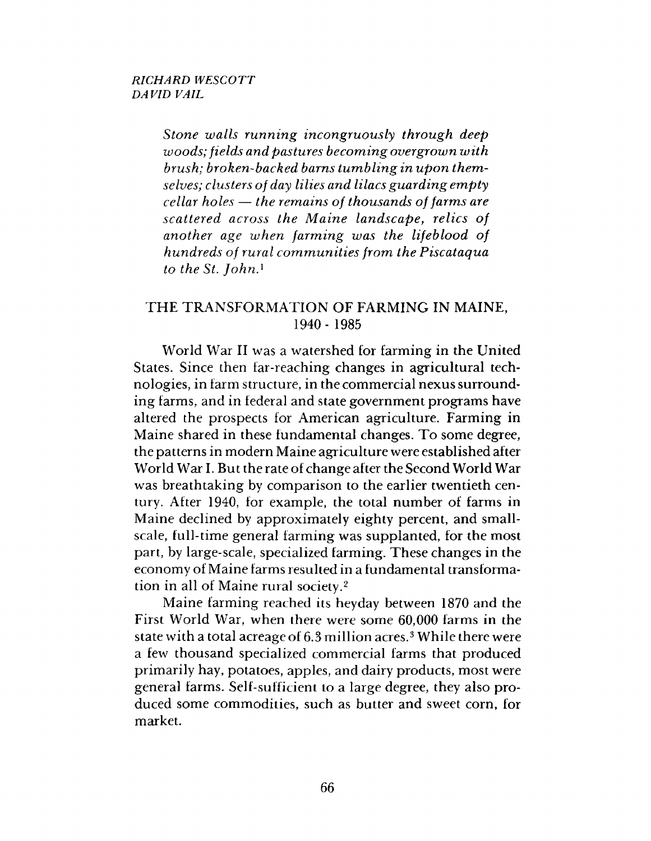*Stone walls running incongruously through deep woods; fields and pastures becoming overgrown with brush; broken-backed barns tum bling in upon them selves; clusters of day lilies and lilacs guarding empty cellar holes* — *the remains of thousands of farms are scattered across the M aine landscape*, *relics of another age when farm ing was the lifeblood of hundreds of rural communities from the Piscataqua*  $to$  the St. *John*.<sup>1</sup>

### THE TRANSFORMATION OF FARMING IN MAINE. 1940- 1985

World War II was a watershed for farming in the United States. Since then far-reaching changes in agricultural technologies, in farm structure, in the commercial nexus surrounding farms, and in federal and state government programs have altered the prospects for American agriculture. Farming in Maine shared in these fundamental changes. To some degree, the patterns in modern Maine agriculture were established after World War I. But the rate of change after the Second World War was breathtaking by comparison to the earlier twentieth century. After 1940, for example, the total number of farms in Maine declined by approximately eighty percent, and smallscale, full-time general farming was supplanted, for the most part, by large-scale, specialized farming. These changes in the economy of Maine farms resulted in a fundamental transformation in all of Maine rural society.2

Maine farming reached its heyday between 1870 and the First World War, when there were some 60,000 farms in the state with a total acreage of 6.3 million acres.<sup>3</sup> While there were a few thousand specialized commercial farms that produced primarily hay, potatoes, apples, and dairy products, most were general farms. Self-sufficient to a large degree, they also produced some commodities, such as butter and sweet corn, for market.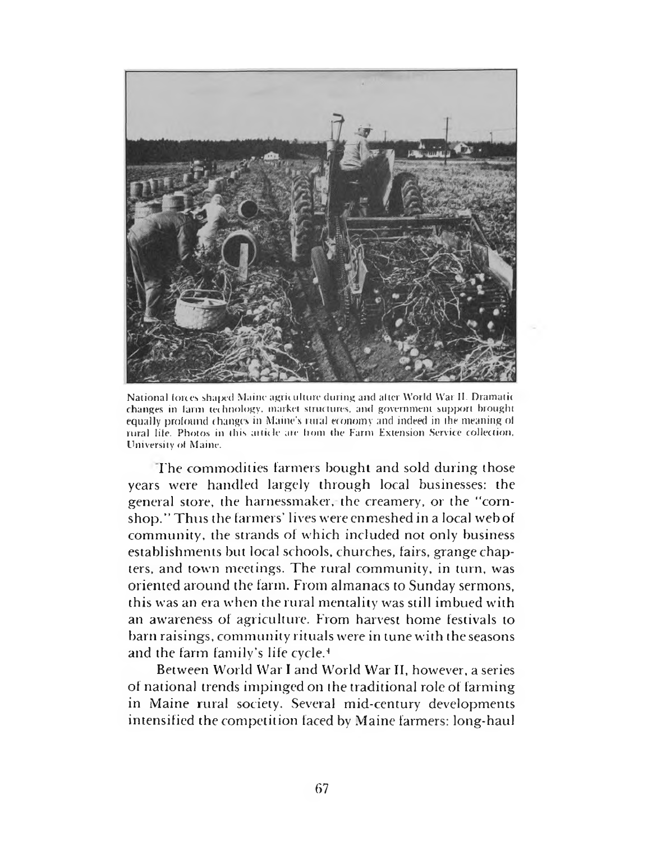

National forces shaped Maine agriculture during and alter World War II. Dramatic changes in larm technology, market structures, and government support brought equally profound changes in Maine's rural economy and indeed in the meaning of rural life. Photos in this atticle are from the Farm Extension Service collection. University of Maine.

The commodities farmers bought and sold during those years were handled largely through local businesses: the general store, the harnessmaker, the creamery, or the "cornshop." Thus the farmers' lives were enmeshed in a local web of community, the strands of which included not only business establishments but local schools, churches, fairs, grange chapters, and town meetings. The rural community, in turn, was oriented around the farm. From almanacs to Sunday sermons, this was an era when the rural mentality was still imbued with an awareness of agriculture. From harvest home festivals to barn raisings, community rituals were in tune with the seasons and the farm family's life cycle.4

Between World War I and World War II, however, a series of national trends impinged on the traditional role of farming in Maine rural society. Several mid-century developments intensified the competition faced by Maine farmers: long-haul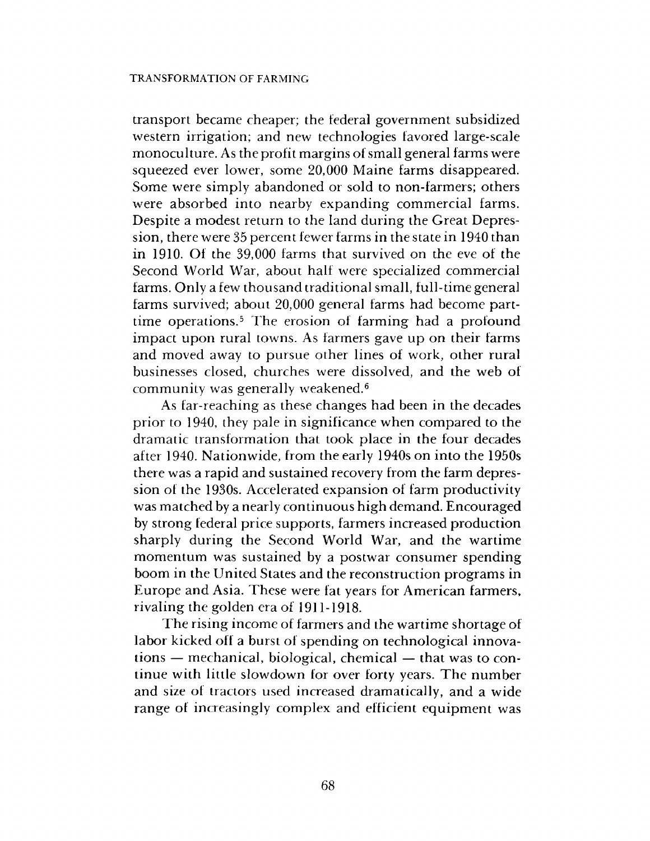transport became cheaper; the federal government subsidized western irrigation; and new technologies favored large-scale monoculture. As the profit margins of small general farms were squeezed ever lower, some 20,000 Maine farms disappeared. Some were simply abandoned or sold to non-farmers; others were absorbed into nearby expanding commercial farms. Despite a modest return to the land during the Great Depression, there were 35 percent fewer farms in the state in 1940 than in 1910. Of the 39,000 farms that survived on the eve of the Second World War, about half were specialized commercial farms. Only a few thousand traditional small, full-time general farms survived; about 20,000 general farms had become parttime operations.5 The erosion of farming had a profound impact upon rural towns. As farmers gave up on their farms and moved away to pursue other lines of work, other rural businesses closed, churches were dissolved, and the web of community was generally weakened.6

As far-reaching as these changes had been in the decades prior to 1940, they pale in significance when compared to the dramatic transformation that took place in the four decades after 1940. Nationwide, from the early 1940s on into the 1950s there was a rapid and sustained recovery from the farm depression of the 1930s. Accelerated expansion of farm productivity was matched by a nearly continuous high demand. Encouraged by strong federal price supports, farmers increased production sharply during the Second World War, and the wartime momentum was sustained by a postwar consumer spending boom in the United States and the reconstruction programs in Europe and Asia. These were fat years for American farmers, rivaling the golden era of 1911-1918.

The rising income of farmers and the wartime shortage of labor kicked off a burst of spending on technological innovations — mechanical, biological, chemical — that was to continue with little slowdown for over forty years. The num ber and size of tractors used increased dramatically, and a wide range of increasingly complex and efficient equipment was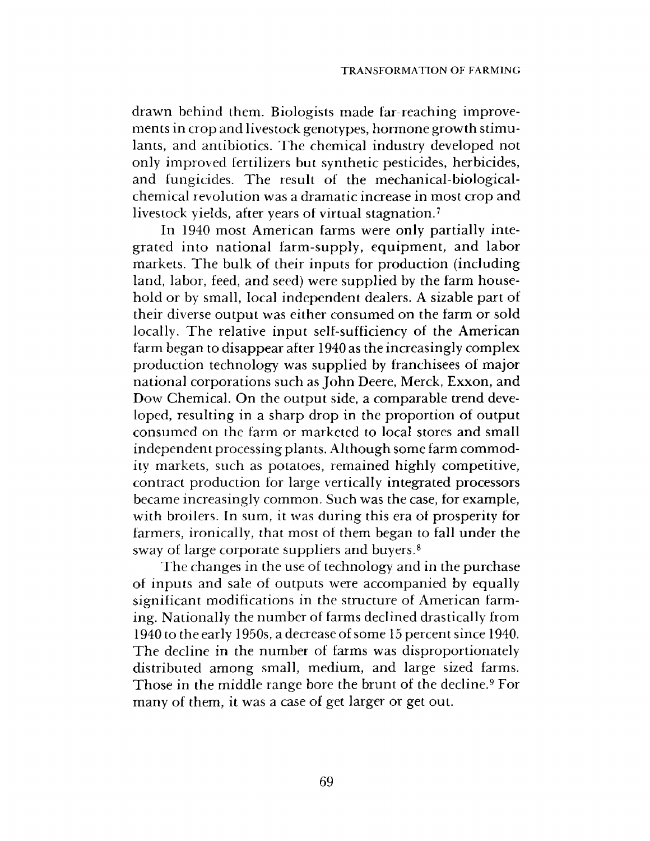drawn behind them. Biologists made far-reaching improvements in crop and livestock genotypes, hormone growth stim ulants, and antibiotics. The chemical industry developed not only improved fertilizers but synthetic pesticides, herbicides, and fungicides. The result of the mechanical-biologicalchemical revolution was a dramatic increase in most crop and livestock yields, after years of virtual stagnation.7

In 1940 most American farms were only partially integrated into national farm-supply, equipment, and labor markets. The bulk of their inputs for production (including land, labor, feed, and seed) were supplied by the farm household or by small, local independent dealers. A sizable part of their diverse output was either consumed on the farm or sold locally. The relative input self-sufficiency of the American farm began to disappear after 1940 as the increasingly complex production technology was supplied by franchisees of major national corporations such as John Deere, Merck, Exxon, and Dow Chemical. On the output side, a comparable trend developed, resulting in a sharp drop in the proportion of output consumed on the farm or marketed to local stores and small independent processing plants. Although some farm commodity markets, such as potatoes, remained highly competitive, contract production for large vertically integrated processors became increasingly common. Such was the case, for example, with broilers. In sum, it was during this era of prosperity for farmers, ironically, that most of them began to fall under the sway of large corporate suppliers and buyers.8

The changes in the use of technology and in the purchase of inputs and sale of outputs were accompanied by equally significant modifications in the structure of American farming. Nationally the number of farms declined drastically from 1940 to the early 1950s, a decrease of some 15 percent since 1940. The decline in the number of farms was disproportionately distributed among small, medium, and large sized farms. Those in the middle range bore the brunt of the decline.<sup>9</sup> For many of them, it was a case of get larger or get out.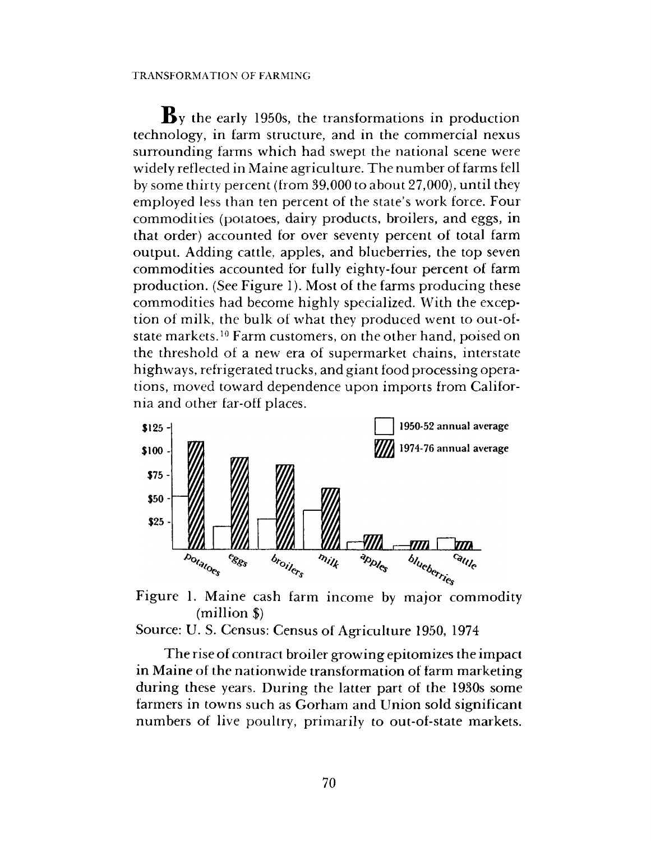$\mathbf{B}$  y the early 1950s, the transformations in production technology, in farm structure, and in the commercial nexus surrounding farms which had swept the national scene were widely reflected in Maine agriculture. The number of farms fell by some thirty percent (from 39,000 to about 27,000), until they employed less than ten percent of the state's work force. Four commodities (potatoes, dairy products, broilers, and eggs, in that order) accounted for over seventy percent of total farm output. Adding cattle, apples, and blueberries, the top seven commodities accounted for fully eighty-four percent of farm production. (See Figure 1). Most of the farms producing these commodities had become highly specialized. With the exception of milk, the bulk of what they produced went to out-ofstate markets.<sup>10</sup> Farm customers, on the other hand, poised on the threshold of a new era of supermarket chains, interstate highways, refrigerated trucks, and giant food processing operations, moved toward dependence upon imports from California and other far-off places.



Figure 1. Maine cash farm income by major commodity (million \$)

Source: U. S. Census: Census of Agriculture 1950, 1974

The rise of contract broiler growing epitomizes the impact in Maine of the nationwide transformation of farm marketing during these years. During the latter part of the 1930s some farmers in towns such as Gorham and Union sold significant numbers of live poultry, primarily to out-of-state markets.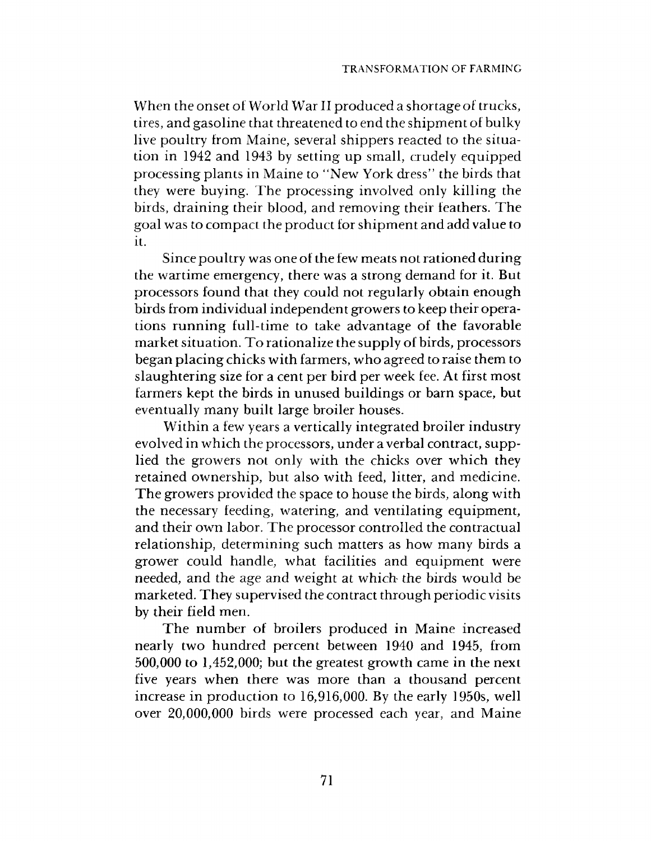When the onset of World War II produced a shortage of trucks, tires, and gasoline that threatened to end the shipment of bulky live poultry from Maine, several shippers reacted to the situation in 1942 and 1943 by setting up small, crudely equipped processing plants in Maine to "New York dress" the birds that they were buying. The processing involved only killing the birds, draining their blood, and removing their feathers. The goal was to compact the product for shipm ent and add value to it.

Since poultry was one of the few meats not rationed during the wartime emergency, there was a strong demand for it. But processors found that they could not regularly obtain enough birds from individual independent growers to keep their operations running full-time to take advantage of the favorable market situation. To rationalize the supply of birds, processors began placing chicks w ith farmers, who agreed to raise them to slaughtering size for a cent per bird per week fee. At first most farmers kept the birds in unused buildings or barn space, but eventually many built large broiler houses.

Within a few years a vertically integrated broiler industry evolved in which the processors, under a verbal contract, supplied the growers not only with the chicks over which they retained ownership, but also with feed, litter, and medicine. The growers provided the space to house the birds, along with the necessary feeding, watering, and ventilating equipment, and their own labor. The processor controlled the contractual relationship, determining such matters as how many birds a grower could handle, what facilities and equipment were needed, and the age and weight at which the birds would be marketed. They supervised the contract through periodic visits by their field men.

The number of broilers produced in Maine increased nearly two hundred percent between 1940 and 1945, from 500,000 to 1,452,000; but the greatest growth came in the next five years when there was more than a thousand percent increase in production to 16,916,000. By the early 1950s, well over 20,000,000 birds were processed each year, and Maine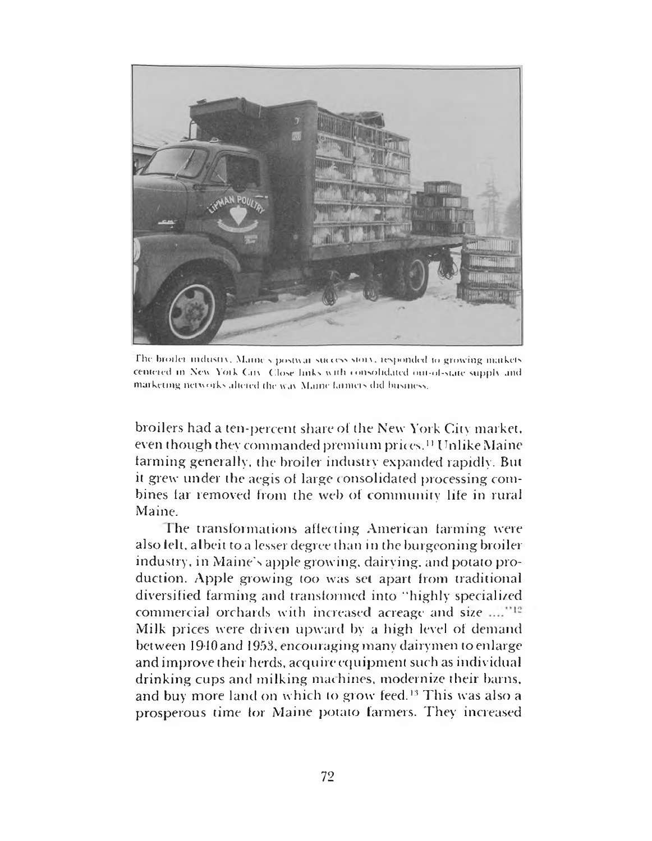

The broiler industry. Maine's postwar-success story, responded to growing markets responded to growthingmarkets centered in New York City. Close links with jon vrlid ated om-ol-siaie snppl\ and marketing networks altered the way Maine larmers did husiness.

broilers had a ten-percent share of the New York City market, even though they commanded premium prices.<sup>11</sup> Unlike Maine tanning generally, the broiler industry expanded rapidly. But it grew under the aegis of large consolidated processing combines far removed from the web of community life in rural Maine.

The transformations affecting American farming were also felt, albeit to a lesser degree than in the burgeoning broiler industry, in Maine's apple growing, dairying, and potato production. Apple growing too was set apart from traditional diversified farming and transformed into "highly specialized commercial orchards with increased acreage and size Milk prices were driven upward by a high level of demand between 1940 and 1953, encouraging many dairymen to enlarge and improve their herds, acquire equipment such as individual drinking cups and milking machines, modernize their barns, and buy more land on which to grow feed.<sup>13</sup> This was also a prosperous time tor Maine potato farmers. They increased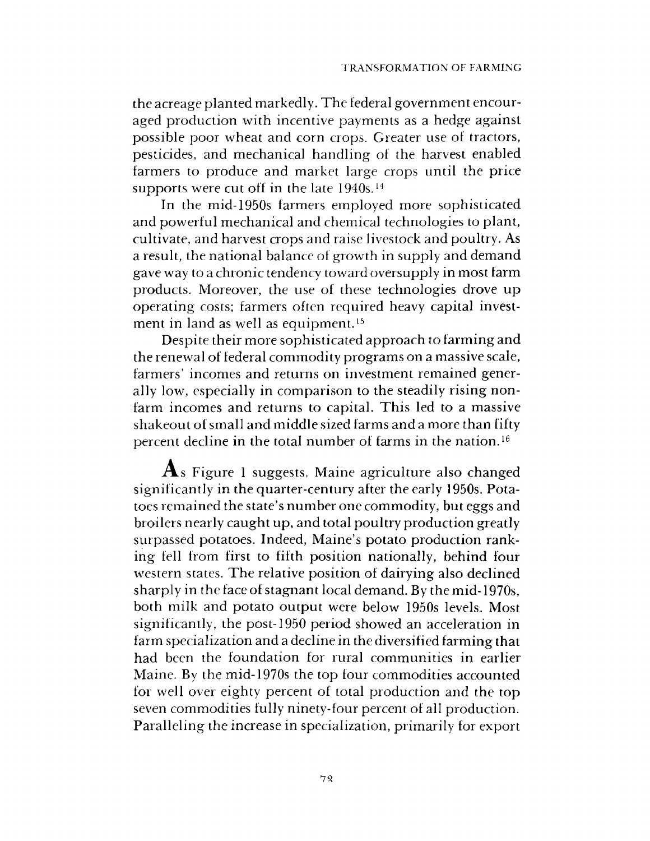the acreage planted markedly. The federal government encouraged production with incentive payments as a hedge against possible poor wheat and corn crops. Greater use of tractors, pesticides, and mechanical handling of the harvest enabled farmers to produce and market large crops until the price supports were cut off in the late 1940s.<sup>14</sup>

In the mid-1950s farmers employed more sophisticated and powerful mechanical and chemical technologies to plant, cultivate, and harvest crops and raise livestock and poultry. As a result, the national balance of growth in supply and demand gave way to a chronic tendency toward oversupply in most farm products. Moreover, the use of these technologies drove up operating costs; farmers often required heavy capital investment in land as well as equipment.<sup>15</sup>

Despite their more sophisticated approach to farming and the renewal of federal commodity programs on a massive scale, farmers' incomes and returns on investment remained generally low, especially in comparison to the steadily rising nonfarm incomes and returns to capital. This led to a massive shakeout of small and middle sized farms and a more than fifty percent decline in the total number of farms in the nation.16

 $\mathbf{A}_s$  Figure 1 suggests, Maine agriculture also changed significantly in the quarter-century after the early 1950s. Potatoes remained the state's number one commodity, but eggs and broilers nearly caught up, and total poultry production greatly surpassed potatoes. Indeed, Maine's potato production ranking fell from first to fifth position nationally, behind four western states. The relative position of dairying also declined sharply in the face of stagnant local demand. By the mid-1970s, both milk and potato output were below 1950s levels. Most significantly, the post-1950 period showed an acceleration in farm specialization and a decline in the diversified farming that had been the foundation for rural communities in earlier Maine. By the mid-1970s the top four commodities accounted for well over eighty percent of total production and the top seven commodities fully ninety-four percent of all production. Paralleling the increase in specialization, primarily for export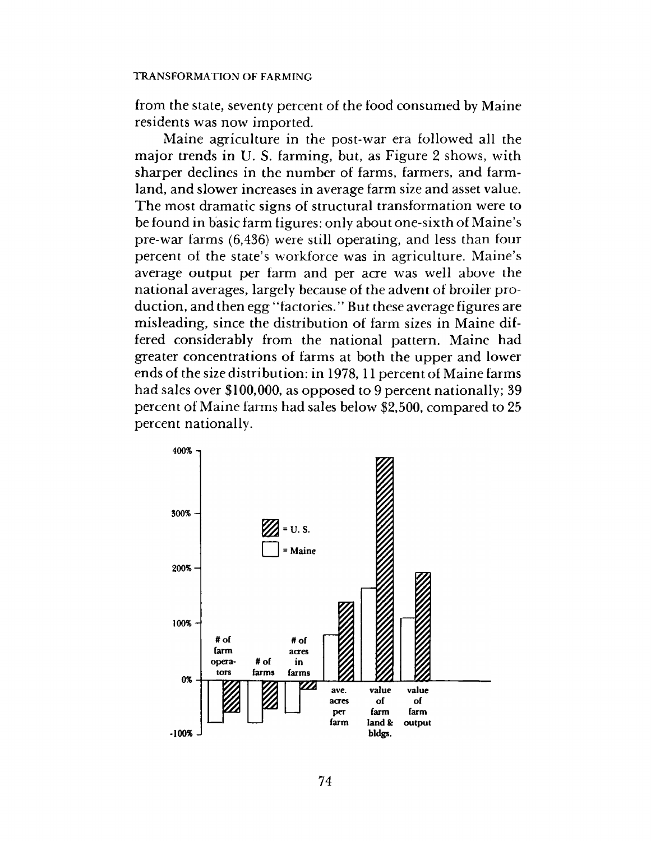from the state, seventy percent of the food consumed by Maine residents was now imported.

Maine agriculture in the post-war era followed all the major trends in U. S. farming, but, as Figure 2 shows, with sharper declines in the number of farms, farmers, and farmland, and slower increases in average farm size and asset value. The most dramatic signs of structural transformation were to be found in basic farm figures: only about one-sixth of Maine's pre-war farms (6,436) were still operating, and less than four percent of the state's workforce was in agriculture. Maine's average output per farm and per acre was well above the national averages, largely because of the advent of broiler production, and then egg "factories." But these average figures are misleading, since the distribution of farm sizes in Maine differed considerably from the national pattern. Maine had greater concentrations of farms at both the upper and lower ends of the size distribution: in 1978,11 percent of Maine farms had sales over \$100,000, as opposed to 9 percent nationally; 39 percent of Maine farms had sales below \$2,500, compared to 25 percent nationally.

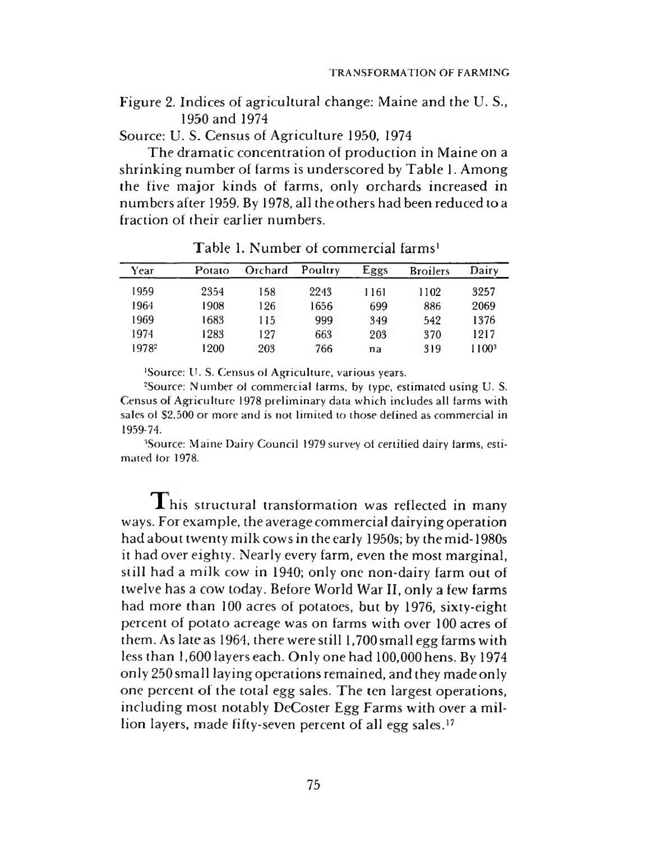Figure 2. Indices of agricultural change: Maine and the U. S., 1950 and 1974

Source: U. S. Census of Agriculture 1950, 1974

The dramatic concentration of production in Maine on a shrinking num ber of farms is underscored by Table 1. Among the five major kinds of farms, only orchards increased in num bersafter 1959. By 1978, all theothers had been reduced toa fraction of their earlier numbers.

| Year              | Potato | Orchard | Poultry | Eggs | <b>Broilers</b> | Dairy             |
|-------------------|--------|---------|---------|------|-----------------|-------------------|
| 1959              | 2354   | 158     | 2243    | 1161 | 1102            | 3257              |
| 1964              | 1908   | 126     | 1656    | 699  | 886             | 2069              |
| 1969              | 1683   | 115     | 999     | 349  | 542             | 1376              |
| 1974              | 1283   | 127     | 663     | 203  | 370             | 1217              |
| 1978 <sup>2</sup> | 1200   | 203     | 766     | na   | 319             | 1100 <sup>3</sup> |

Table 1. Number of commercial farms<sup>1</sup>

'Source: U. S. Census of Agriculture, various years.

<sup>2</sup>Source: Number of commercial farms, by type, estimated using U. S. Census ol Agriculture 1978 preliminary data which includes all farms with sales of \$2,500 or more and is not limited to those defined as commercial in 1959-74.

<sup>3</sup>Source: Maine Dairy Council 1979 survey of certified dairy farms, estimated lor 1978.

This structural transformation was reflected in many ways. For example, the average commercial dairying operation had about twenty milk cows in the early 1950s; by the mid-1980s it had over eighty. Nearly every farm, even the most marginal, still had a milk cow in 1940; only one non-dairy farm out of twelve has a cow today. Before World War II, only a few farms had more than 100 acres of potatoes, but by 1976, sixty-eight percent of potato acreage was on farms with over 100 acres of them. As late as 1964, there were still 1,700 small egg farms with less than 1,600 layers each. Only one had 100,000 hens. By 1974 only 250small laying operations remained, and they madeonly one percent of the total egg sales. The ten largest operations, including most notably DeCoster Egg Farms with over a million layers, made fifty-seven percent of all egg sales.<sup>17</sup>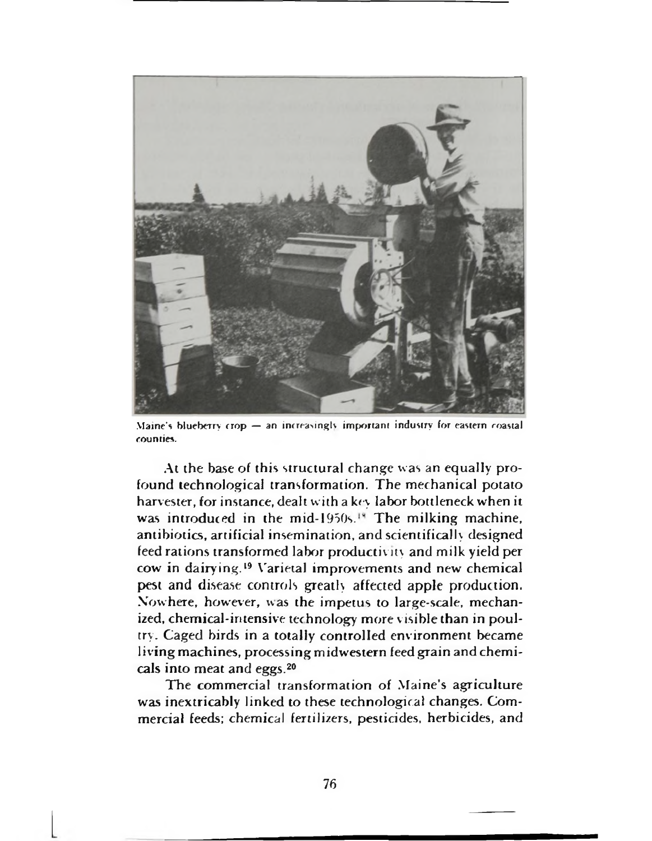

Maine's blueberry crop — an increasingly important industry for eastern coastal counties.

At the base of this structural change was an equally profound technological transformation. The mechanical potato harvester, for instance, dealt with a key labor bottleneck when it was introduced in the mid-1950s.<sup>18</sup> The milking machine, antibiotics, artificial insemination, and scientifically designed feed rations transformed labor productivity and milk yield per cow in dairying.19 Varietal improvements and new chemical pest and disease controls greatly affected apple production. Nowhere, however, was the impetus to large-scale, mechanized, chemical-intensive technology more visible than in poultry. Caged birds in a totally controlled environment became living machines, processing midwestern feed grain and chemicals into meat and eggs.20

The commercial transformation of Maine's agriculture was inextricably linked to these technological changes. Commercial feeds; chemical fertilizers, pesticides, herbicides, and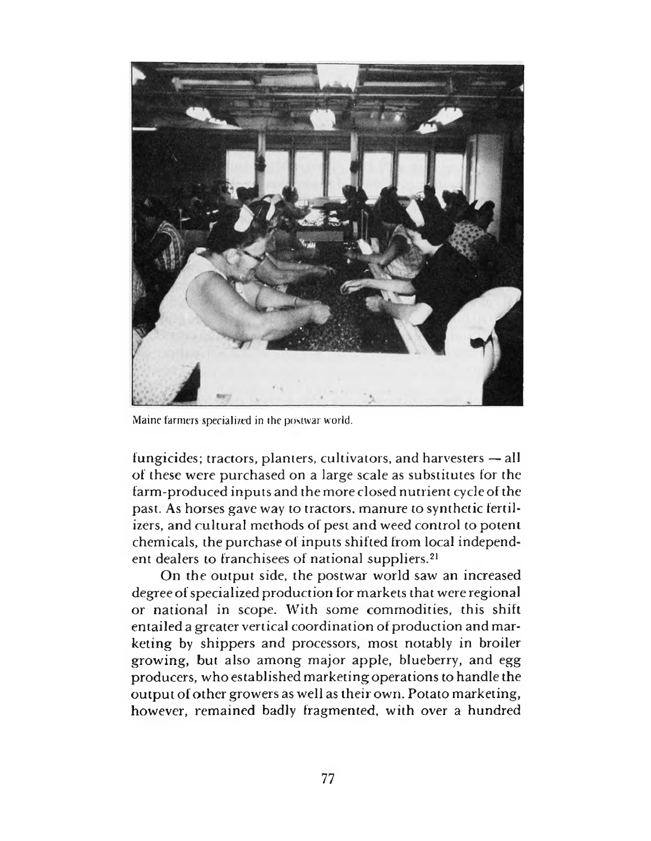

Maine farmers specialized in ihe postwar world.

fungicides; tractors, planters, cultivators, and harvesters — all of these were purchased on a large scale as substitutes for the farm-produced inputs and the more closed nutrient cycle of the past. As horses gave way to tractors, manure to synthetic fertilizers, and cultural methods of pest and weed control to potent chemicals, the purchase of inputs shifted from local independent dealers to franchisees of national suppliers.21

On the output side, the postwar world saw an increased degree of specialized production for markets that were regional or national in scope. With some commodities, this shift entailed a greater vertical coordination of production and marketing by shippers and processors, most notably in broiler growing, but also among major apple, blueberry, and egg producers, who established marketing operations to handle the output of other growers as well as their own. Potato marketing, however, remained badly fragmented, with over a hundred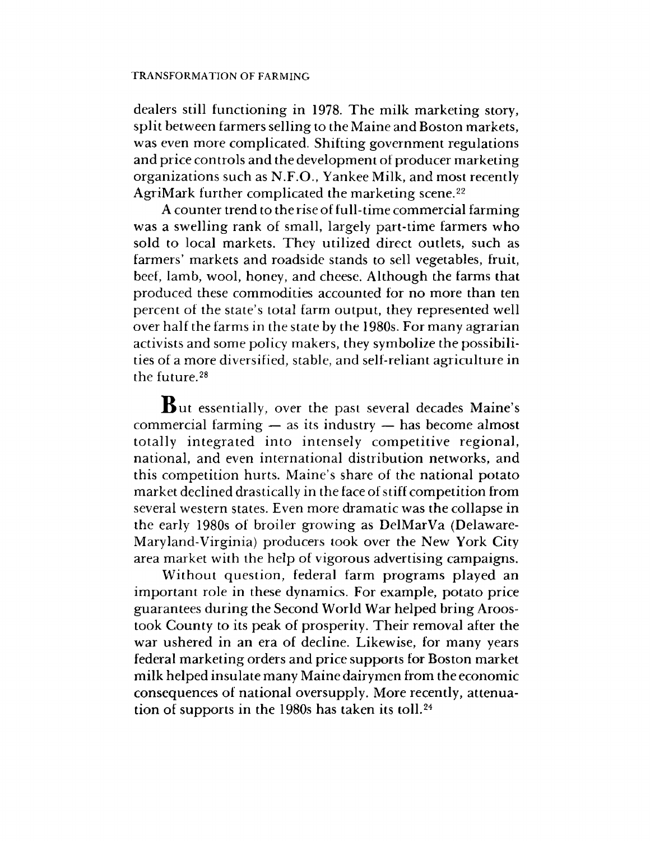dealers still functioning in 1978. The milk marketing story, split between farmers selling to the Maine and Boston markets, was even more complicated. Shifting government regulations and price controls and the development of producer marketing organizations such as N.F.O., Yankee Milk, and most recently AgriMark further complicated the marketing scene.<sup>22</sup>

A counter trend to the rise of full-time commercial farming was a swelling rank of small, largely part-time farmers who sold to local markets. They utilized direct outlets, such as farmers' markets and roadside stands to sell vegetables, fruit, beef, lamb, wool, honey, and cheese. Although the farms that produced these commodities accounted for no more than ten percent of the state's total farm output, they represented well over half the farms in the state by the 1980s. For many agrarian activists and some policy makers, they symbolize the possibilities of a more diversified, stable, and self-reliant agriculture in the future.28

 $\, {\bf B}$ ut essentially, over the past several decades Maine's commercial farming — as its industry — has become almost totally integrated into intensely competitive regional, national, and even international distribution networks, and this competition hurts. Maine's share of the national potato market declined drastically in the face of stiff competition from several western states. Even more dramatic was the collapse in the early 1980s of broiler growing as DelMarVa (Delaware-Maryland-Virginia) producers took over the New York City area market with the help of vigorous advertising campaigns.

Without question, federal farm programs played an im portant role in these dynamics. For example, potato price guarantees during the Second World War helped bring Aroostook County to its peak of prosperity. Their removal after the war ushered in an era of decline. Likewise, for many years federal marketing orders and price supports for Boston market milk helped insulate many Maine dairymen from the economic consequences of national oversupply. More recently, attenuation of supports in the 1980s has taken its toll.24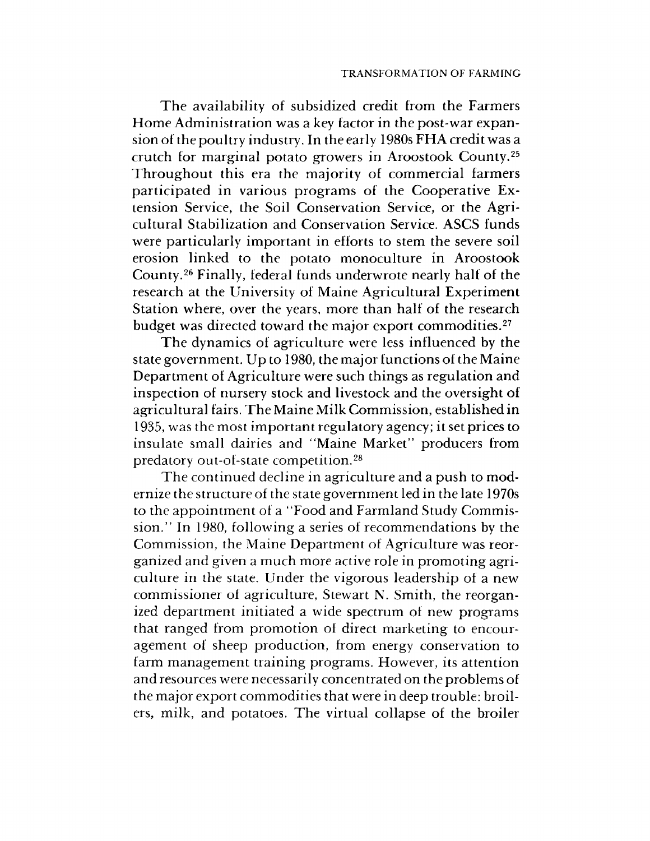The availability of subsidized credit from the Farmers Home Administration was a key factor in the post-war expansion of the poultry industry. In the early 1980s FHA credit was a crutch for marginal potato growers in Aroostook County.<sup>25</sup> Throughout this era the majority of commercial farmers participated in various programs of the Cooperative Extension Service, the Soil Conservation Service, or the Agricultural Stabilization and Conservation Service. ASCS funds were particularly important in efforts to stem the severe soil erosion linked to the potato monoculture in Aroostook County.26 Finally, federal funds underwrote nearly half of the research at the University of Maine Agricultural Experiment Station where, over the years, more than half of the research budget was directed toward the major export commodities.<sup>27</sup>

The dynamics of agriculture were less influenced by the state government. Up to 1980, the major functions of the Maine Department of Agriculture were such things as regulation and inspection of nursery stock and livestock and the oversight of agricultural fairs. T he Maine Milk Commission, established in 1935, was the most im portant regulatory agency; it set prices to insulate small dairies and "Maine Market" producers from predatory out-of-state competition.<sup>28</sup>

The continued decline in agriculture and a push to modernize the structure of the state government led in the late 1970s to the appointment of a "Food and Farmland Study Commission." In 1980, following a series of recommendations by the Commission, the Maine Department of Agriculture was reorganized and given a much more active role in promoting agriculture in the state. Under the vigorous leadership of a new commissioner of agriculture, Stewart N. Smith, the reorganized department initiated a wide spectrum of new programs that ranged from promotion of direct marketing to encouragement of sheep production, from energy conservation to farm management training programs. However, its attention and resources were necessarily concentrated on the problems of the major export commodities that were in deep trouble: broilers, milk, and potatoes. The virtual collapse of the broiler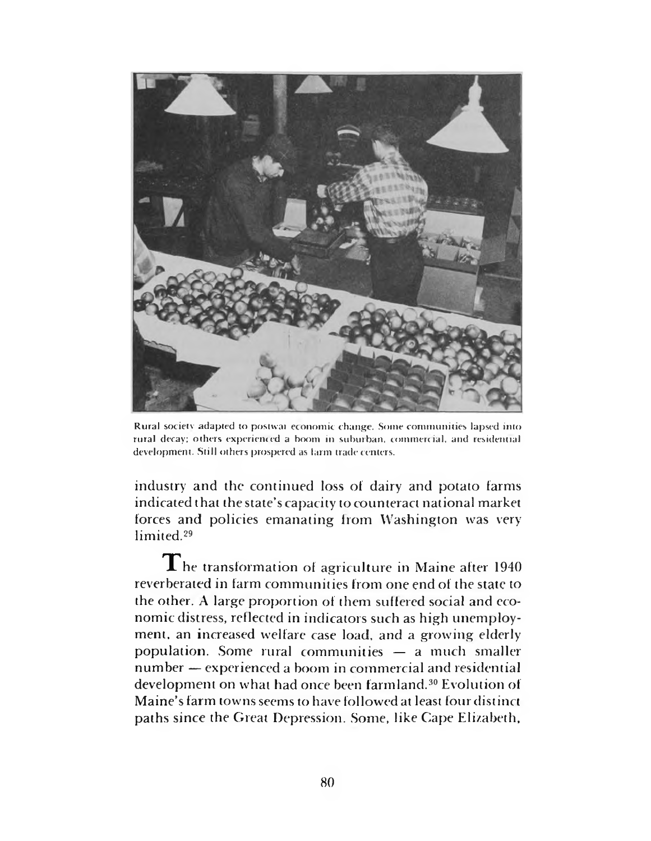

Rural society adapted to postwar economic change. Some communities lapsed into rural decay; others experienced a boom in suburban, commercial, and residential development. Still others prospered as larm trade centers.

industry and the continued loss of dairy and potato farms indicated that the state's capacity to counteract national market forces and policies emanating from Washington was very limited.29

 $\mathbf T$ he transformation of agriculture in Maine after 1940 reverberated in farm communities from one end of the state to the other. A large proportion of them suffered social and economic distress, reflected in indicators such as high unemployment, an increased welfare case load, and a growing elderly population. Some rural communities — a much smaller number — experienced a boom in commercial and residential development on what had once been farmland.<sup>30</sup> Evolution of M aine's farm towns seems to have followed at least four distinct paths since the Great Depression. Some, like Cape Elizabeth,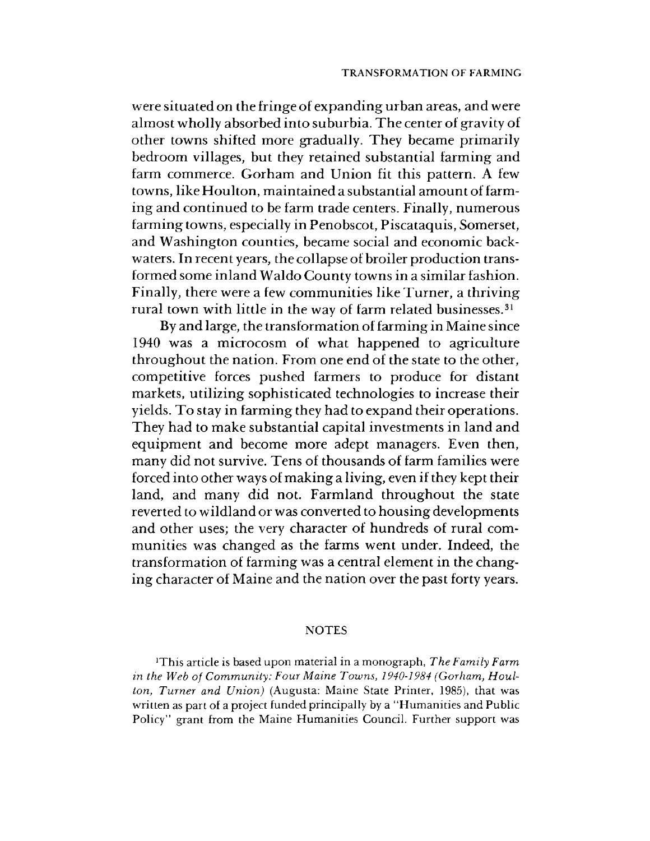were situated on the fringe of expanding urban areas, and were almost wholly absorbed into suburbia. The center of gravity of other towns shifted more gradually. They became primarily bedroom villages, but they retained substantial farming and farm commerce. Gorham and Union fit this pattern. A few towns, like Houlton, maintained a substantial amount of farming and continued to be farm trade centers. Finally, numerous farming towns, especially in Penobscot, Piscataquis, Somerset, and Washington counties, became social and economic backwaters. In recent years, the collapse of broiler production transformed some inland Waldo County towns in a sim ilar fashion. Finally, there were a few communities like Turner, a thriving rural town with little in the way of farm related businesses.<sup>31</sup>

By and large, the transformation of farming in Maine since 1940 was a microcosm of what happened to agriculture throughout the nation. From one end of the state to the other, competitive forces pushed farmers to produce for distant markets, utilizing sophisticated technologies to increase their yields. To stay in farming they had to expand their operations. They had to make substantial capital investments in land and equipment and become more adept managers. Even then, many did not survive. Tens of thousands of farm families were forced into other ways of making a living, even if they kept their land, and many did not. Farmland throughout the state reverted to wildland or was converted to housing developments and other uses; the very character of hundreds of rural communities was changed as the farms went under. Indeed, the transformation of farming was a central element in the changing character of Maine and the nation over the past forty years.

#### **NOTES**

]This article is based upon material in a monograph, *The Family Farm in the Web of Community: Four Maine Towns, 1940-1984 (Gorham, Houlton, Turner and Union)* (Augusta: Maine State Printer, 1985), that was written as part of a project funded principally by a "Humanities and Public Policy" grant from the Maine Humanities Council. Further support was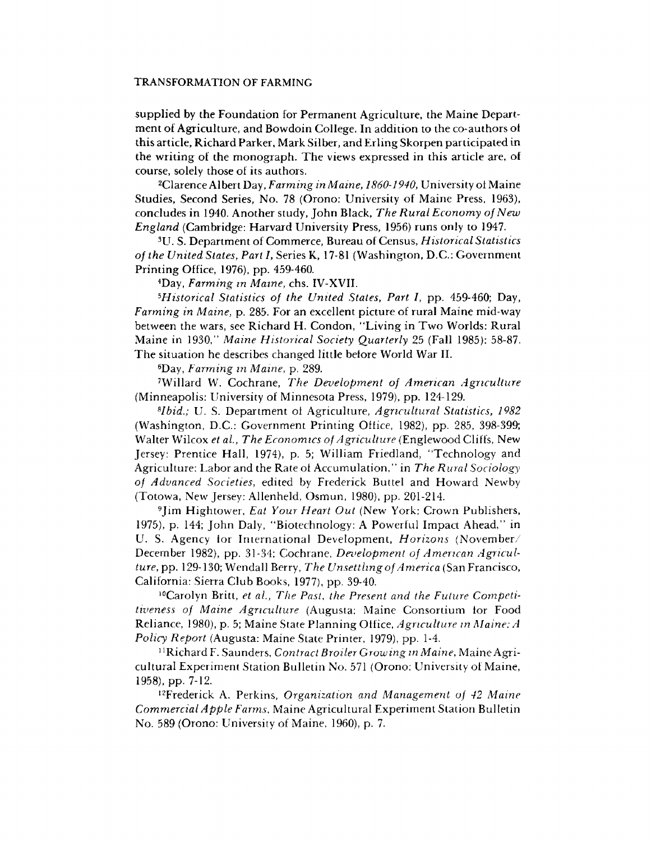supplied by the Foundation for Permanent Agriculture, the Maine Department of Agriculture, and Bowdoin College. In addition to the co-authors of this article, Richard Parker, Mark Silber, and Erling Skorpen participated in the writing of the monograph. The views expressed in this article are, of course, solely those of its authors.

2Clarence Albert Day, *Farming in Maine*, *1860-1940,* University of Maine Studies, Second Series, No. 78 (Orono: University of Maine Press, 1963), concludes in 1940. Another study, John Black, *The Rural Economy of New England* (Cambridge: Harvard University Press, 1956) runs only to 1947.

3U. S. Department of Commerce, Bureau of Census, *Historical Statistics of the United States, Part 1,* Series K, 17-81 (Washington, D.C.: Government Printing Office, 1976), pp, 459-460.

4Day, *Farming in Maine,* chs. IV-XVII.

*5Historical Statistics of the United States, Part I,* pp. 459-460; Day, *Farming in Maine,* p. 285. For an excellent picture of rural Maine mid-way between the wars, see Richard H. Condon, "Living in Two Worlds: Rural Maine in 1930," *Maine Historical Society Quarterly* 25 (Fall 1985): 58-87. The situation he describes changed little before World War II.

6Day, *Farming in Maine,* p. 289.

7Willard W. Cochrane, *The Development of American Agriculture* (Minneapolis: University of Minnesota Press, 1979), pp. 124-129.

*8lbid.;* U. S. Department of Agriculture, *Agricultural Statistics, 1982* (Washington, D.C.: Government Printing Office, 1982), pp. 285, 398-399; Walter Wilcox *et ai, The Economics of Agriculture* (Englewood Cliffs, New Jersey: Prentice Hall, 1974), p. 5; William Friedland, "Technology and Agriculture: Labor and the Rate of Accumulation," in *The Rural Sociology of Advanced Societies*, edited by Frederick Buttel and Howard Newby (Totowa, New Jersey: Allenheld, Osmun, 1980), pp. 201-214.

9Jim Hightower, *Eat Your Heart Out* (New York: Crown Publishers, 1975), p. 144; John Daly, "Biotechnology: A Powerful Impact Ahead," in U. S. Agency lor International Development, *Horizons* (November/ December 1982), pp. 31-34; Cochrane, *Development of American Agriculture,* pp. 129-130; Wendall Berry, *The Unsettling of America* (San Francisco, California: Sierra Club Books, 1977), pp. 39-40.

10Carolyn Britt, *et ai, The Past, the Present and the Future Competitiveness of Maine Agriculture* (Augusta: Maine Consortium for Food Reliance, 1980), p. 5; Maine State Planning Otfice, *Agriculture in Maine: A Policy Report* (Augusta: Maine State Printer, 1979), pp. 1-4.

1 R ichard F. Saunders, *Contract Broiler Growing in Maine,* Maine Agricultural Experiment Station Bulletin No. 571 (Orono: University of Maine, 1958), pp. 7-12.

t2Frederick A. Perkins, *Organization and Management of 42 Maine Commercial Apple Farms,* Maine Agricultural Experiment Station Bulletin No. 589 (Orono: University of Maine, 1960), p. 7.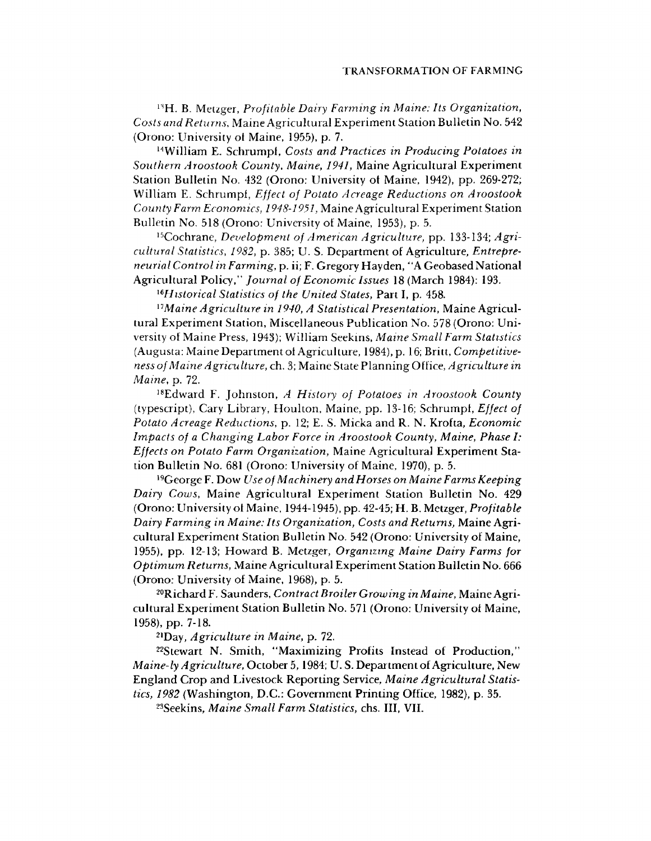13H. B. Metzger, *Profitable Dairy Farming in Maine: Its Organization, Costs and Returns*, Maine Agricultural Experiment Station Bulletin No. 542 (Orono: University ot Maine, 1955), p. 7.

14William E. Schrumpf, *Costs and Practices in Producing Potatoes in Southern Aroostook County, Maine, 1941,* Maine Agricultural Experiment Station Bulletin No. 432 (Orono: University ot Maine, 1942), pp. 269-272; William E. Schrumpl, *Effect of Potato Acreage Reductions on Aroostook County Farm Economics, 1948-1951,* Maine Agricultural Experiment Station Bulletin No. 518 (Orono: University ot Maine, 1953), p. 5.

15Cochrane, *Development of American Agriculture,* pp. 133-134; *Agricultural Statistics, 1982,* p. 385; U. S. Department ot Agriculture, *Entrepreneurial Control in Farming,* p. ii; F. Gregory Hayden, "A Geobased National Agricultural Policy," *Journal of Economic Issues* 18 (March 1984): 193.

*16Historical Statistics of the United States,* Part I, p. 458.

*17Maine Agriculture in 1940, A Statistical Presentation,* Maine Agricultural Experiment Station, Miscellaneous Publication No. 578 (Orono: University ot Maine Press, 1943); William Seekins, *Maine Small Farm Statistics* (Augusta: Maine Department ot Agriculture, 1984), p. 16; Britt, *Competitiveness of Maine Agriculture,* ch. 3; Maine State Planning Office, *Agriculture in Maine*, p. 72.

18Edward F. Johnston, *A History of Potatoes in Aroostook County* (typescript), Cary Library, Houlton, Maine, pp. 13-16; Schrumpt, *Effect of Potato Acreage Reductions,* p. 12; E. S. Micka and R. N. Krofta, *Economic Impacts of a Changing Labor Force in Aroostook County, Maine, Phase I: Effects on Potato Farm Organization,* Maine Agricultural Experiment Station Bulletin No. 681 (Orono: University of Maine, 1970), p. 5.

19George F. Dow *Use of Machinery and Horses on Maine Farms Keeping Dairy Cows,* Maine Agricultural Experiment Station Bulletin No. 429 (Orono: University ot Maine, 1944-1945), pp. 42-45; H. B. Metzger, *Profitable Dairy Farming in Maine: Its Organization, Costs and Returns,* Maine Agricultural Experiment Station Bulletin No. 542 (Orono: University of Maine, 1955), pp. 12-13; Howard B. Metzger, *Organizing Maine Dairy Farms for Optimum Returns,* Maine Agricultural Experiment Station Bulletin No. 666 (Orono: University of Maine, 1968), p. 5.

20Richard F. Saunders, *Contract Broiler Growing in Maine,* Maine Agricultural Experiment Station Bulletin No. 571 (Orono: University ot Maine, 1958), pp. 7-18.

21Day, *Agriculture in Maine,* p. 72.

22Stewart N. Smith, "Maximizing Profits Instead of Production," *Maine-ly Agriculture,* October 5,1984; U. S. Department of Agriculture, New England Crop and Livestock Reporting Service, *Maine Agricultural Statistics, 1982* (Washington, D.C.: Government Printing Office, 1982), p. 35.

23Seekins, *Maine Small Farm Statistics,* chs. Ill, VII.